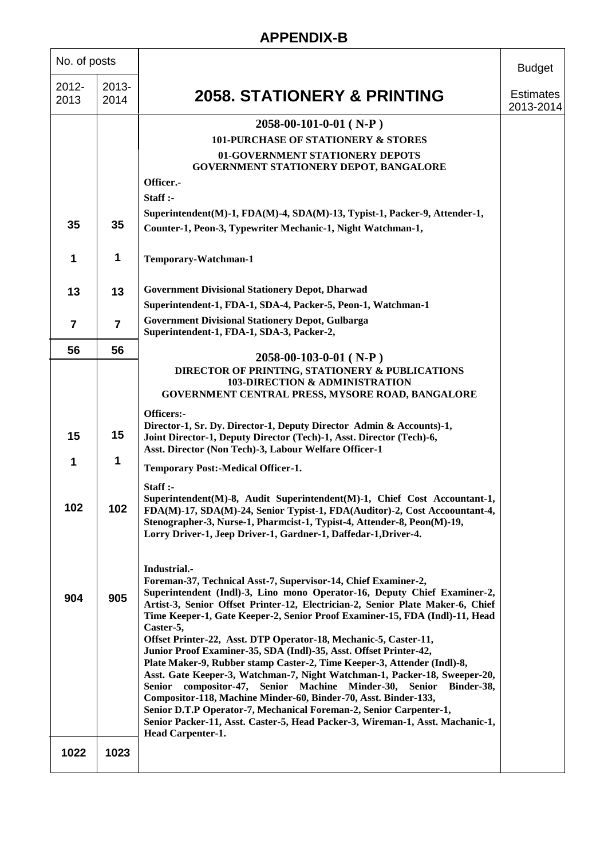| No. of posts   |                  |                                                                                                                                                                                                                                                                                                                                                                                                                                                                                                                                               | <b>Budget</b>                 |
|----------------|------------------|-----------------------------------------------------------------------------------------------------------------------------------------------------------------------------------------------------------------------------------------------------------------------------------------------------------------------------------------------------------------------------------------------------------------------------------------------------------------------------------------------------------------------------------------------|-------------------------------|
| 2012-<br>2013  | $2013 -$<br>2014 | <b>2058. STATIONERY &amp; PRINTING</b>                                                                                                                                                                                                                                                                                                                                                                                                                                                                                                        | <b>Estimates</b><br>2013-2014 |
|                |                  | $2058-00-101-0-01$ (N-P)                                                                                                                                                                                                                                                                                                                                                                                                                                                                                                                      |                               |
|                |                  | <b>101-PURCHASE OF STATIONERY &amp; STORES</b>                                                                                                                                                                                                                                                                                                                                                                                                                                                                                                |                               |
|                |                  | 01-GOVERNMENT STATIONERY DEPOTS<br>GOVERNMENT STATIONERY DEPOT, BANGALORE                                                                                                                                                                                                                                                                                                                                                                                                                                                                     |                               |
|                |                  | Officer.-<br>Staff :-                                                                                                                                                                                                                                                                                                                                                                                                                                                                                                                         |                               |
|                |                  | Superintendent(M)-1, FDA(M)-4, SDA(M)-13, Typist-1, Packer-9, Attender-1,                                                                                                                                                                                                                                                                                                                                                                                                                                                                     |                               |
| 35             | 35               | Counter-1, Peon-3, Typewriter Mechanic-1, Night Watchman-1,                                                                                                                                                                                                                                                                                                                                                                                                                                                                                   |                               |
| 1              | 1                | Temporary-Watchman-1                                                                                                                                                                                                                                                                                                                                                                                                                                                                                                                          |                               |
| 13             | 13               | <b>Government Divisional Stationery Depot, Dharwad</b>                                                                                                                                                                                                                                                                                                                                                                                                                                                                                        |                               |
|                |                  | Superintendent-1, FDA-1, SDA-4, Packer-5, Peon-1, Watchman-1                                                                                                                                                                                                                                                                                                                                                                                                                                                                                  |                               |
| $\overline{7}$ | $\overline{7}$   | <b>Government Divisional Stationery Depot, Gulbarga</b><br>Superintendent-1, FDA-1, SDA-3, Packer-2,                                                                                                                                                                                                                                                                                                                                                                                                                                          |                               |
| 56             | 56               | $2058-00-103-0-01$ (N-P)                                                                                                                                                                                                                                                                                                                                                                                                                                                                                                                      |                               |
|                |                  | DIRECTOR OF PRINTING, STATIONERY & PUBLICATIONS<br>103-DIRECTION & ADMINISTRATION<br>GOVERNMENT CENTRAL PRESS, MYSORE ROAD, BANGALORE                                                                                                                                                                                                                                                                                                                                                                                                         |                               |
|                |                  | Officers:-                                                                                                                                                                                                                                                                                                                                                                                                                                                                                                                                    |                               |
| 15             | 15               | Director-1, Sr. Dy. Director-1, Deputy Director Admin & Accounts)-1,<br>Joint Director-1, Deputy Director (Tech)-1, Asst. Director (Tech)-6,<br>Asst. Director (Non Tech)-3, Labour Welfare Officer-1                                                                                                                                                                                                                                                                                                                                         |                               |
| 1              | 1                | <b>Temporary Post:-Medical Officer-1.</b>                                                                                                                                                                                                                                                                                                                                                                                                                                                                                                     |                               |
| 102            | 102              | Start:<br>Superintendent(M)-8, Audit Superintendent(M)-1, Chief Cost Accountant-1,<br>FDA(M)-17, SDA(M)-24, Senior Typist-1, FDA(Auditor)-2, Cost Accoountant-4,<br>Stenographer-3, Nurse-1, Pharmcist-1, Typist-4, Attender-8, Peon(M)-19,<br>Lorry Driver-1, Jeep Driver-1, Gardner-1, Daffedar-1, Driver-4.                                                                                                                                                                                                                                |                               |
|                |                  | Industrial.-<br>Foreman-37, Technical Asst-7, Supervisor-14, Chief Examiner-2,<br>Superintendent (Indl)-3, Lino mono Operator-16, Deputy Chief Examiner-2,                                                                                                                                                                                                                                                                                                                                                                                    |                               |
| 904            | 905              | Artist-3, Senior Offset Printer-12, Electrician-2, Senior Plate Maker-6, Chief<br>Time Keeper-1, Gate Keeper-2, Senior Proof Examiner-15, FDA (Indl)-11, Head<br>Caster-5,<br>Offset Printer-22, Asst. DTP Operator-18, Mechanic-5, Caster-11,                                                                                                                                                                                                                                                                                                |                               |
|                |                  | Junior Proof Examiner-35, SDA (Indl)-35, Asst. Offset Printer-42,<br>Plate Maker-9, Rubber stamp Caster-2, Time Keeper-3, Attender (Indl)-8,<br>Asst. Gate Keeper-3, Watchman-7, Night Watchman-1, Packer-18, Sweeper-20,<br>Senior compositor-47, Senior Machine Minder-30, Senior Binder-38,<br>Compositor-118, Machine Minder-60, Binder-70, Asst. Binder-133,<br>Senior D.T.P Operator-7, Mechanical Foreman-2, Senior Carpenter-1,<br>Senior Packer-11, Asst. Caster-5, Head Packer-3, Wireman-1, Asst. Machanic-1,<br>Head Carpenter-1. |                               |
| 1022           | 1023             |                                                                                                                                                                                                                                                                                                                                                                                                                                                                                                                                               |                               |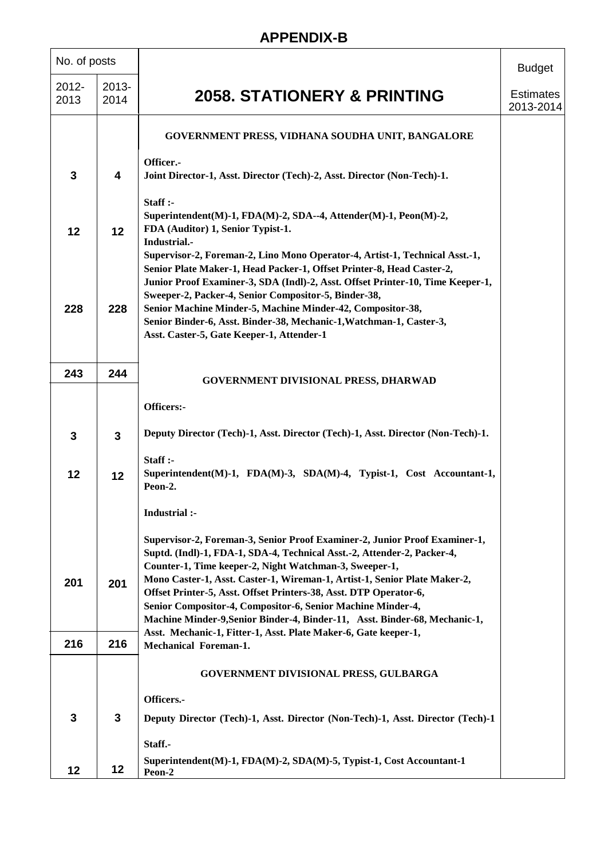| No. of posts     |               |                                                                                                                                                                                                                                                                                                | <b>Budget</b>                 |
|------------------|---------------|------------------------------------------------------------------------------------------------------------------------------------------------------------------------------------------------------------------------------------------------------------------------------------------------|-------------------------------|
| $2012 -$<br>2013 | 2013-<br>2014 | <b>2058. STATIONERY &amp; PRINTING</b>                                                                                                                                                                                                                                                         | <b>Estimates</b><br>2013-2014 |
|                  |               | GOVERNMENT PRESS, VIDHANA SOUDHA UNIT, BANGALORE                                                                                                                                                                                                                                               |                               |
| 3                | 4             | Officer.-<br>Joint Director-1, Asst. Director (Tech)-2, Asst. Director (Non-Tech)-1.                                                                                                                                                                                                           |                               |
| 12               | 12            | Staff:<br>Superintendent(M)-1, FDA(M)-2, SDA--4, Attender(M)-1, Peon(M)-2,<br>FDA (Auditor) 1, Senior Typist-1.<br>Industrial.-                                                                                                                                                                |                               |
|                  |               | Supervisor-2, Foreman-2, Lino Mono Operator-4, Artist-1, Technical Asst.-1,<br>Senior Plate Maker-1, Head Packer-1, Offset Printer-8, Head Caster-2,<br>Junior Proof Examiner-3, SDA (Indl)-2, Asst. Offset Printer-10, Time Keeper-1,<br>Sweeper-2, Packer-4, Senior Compositor-5, Binder-38, |                               |
| 228              | 228           | Senior Machine Minder-5, Machine Minder-42, Compositor-38,<br>Senior Binder-6, Asst. Binder-38, Mechanic-1, Watchman-1, Caster-3,<br>Asst. Caster-5, Gate Keeper-1, Attender-1                                                                                                                 |                               |
| 243              | 244           | <b>GOVERNMENT DIVISIONAL PRESS, DHARWAD</b>                                                                                                                                                                                                                                                    |                               |
|                  |               | Officers:-                                                                                                                                                                                                                                                                                     |                               |
| 3                | $\mathbf{3}$  | Deputy Director (Tech)-1, Asst. Director (Tech)-1, Asst. Director (Non-Tech)-1.                                                                                                                                                                                                                |                               |
| 12               | 12            | Staff:<br>Superintendent(M)-1, FDA(M)-3, SDA(M)-4, Typist-1, Cost Accountant-1,<br>Peon-2.                                                                                                                                                                                                     |                               |
|                  |               | Industrial :-                                                                                                                                                                                                                                                                                  |                               |
|                  |               | Supervisor-2, Foreman-3, Senior Proof Examiner-2, Junior Proof Examiner-1,<br>Suptd. (Indl)-1, FDA-1, SDA-4, Technical Asst.-2, Attender-2, Packer-4,<br>Counter-1, Time keeper-2, Night Watchman-3, Sweeper-1,                                                                                |                               |
| 201              | 201           | Mono Caster-1, Asst. Caster-1, Wireman-1, Artist-1, Senior Plate Maker-2,<br>Offset Printer-5, Asst. Offset Printers-38, Asst. DTP Operator-6,<br>Senior Compositor-4, Compositor-6, Senior Machine Minder-4,<br>Machine Minder-9, Senior Binder-4, Binder-11, Asst. Binder-68, Mechanic-1,    |                               |
| 216              | 216           | Asst. Mechanic-1, Fitter-1, Asst. Plate Maker-6, Gate keeper-1,<br><b>Mechanical Foreman-1.</b>                                                                                                                                                                                                |                               |
|                  |               | <b>GOVERNMENT DIVISIONAL PRESS, GULBARGA</b>                                                                                                                                                                                                                                                   |                               |
|                  |               | Officers.-                                                                                                                                                                                                                                                                                     |                               |
| 3                | $\mathbf{3}$  | Deputy Director (Tech)-1, Asst. Director (Non-Tech)-1, Asst. Director (Tech)-1                                                                                                                                                                                                                 |                               |
|                  |               | Staff.-                                                                                                                                                                                                                                                                                        |                               |
| 12               | 12            | Superintendent(M)-1, FDA(M)-2, SDA(M)-5, Typist-1, Cost Accountant-1<br>Peon-2                                                                                                                                                                                                                 |                               |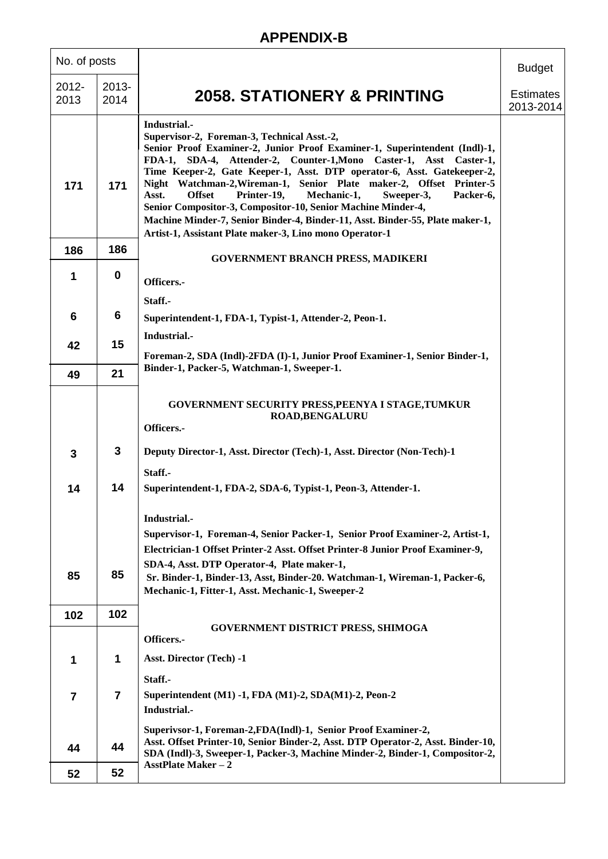| No. of posts     |                  |                                                                                                                                                                                                                                                                                                                                                                                                                                                                                                                                                                                                                                                                  | <b>Budget</b>                 |
|------------------|------------------|------------------------------------------------------------------------------------------------------------------------------------------------------------------------------------------------------------------------------------------------------------------------------------------------------------------------------------------------------------------------------------------------------------------------------------------------------------------------------------------------------------------------------------------------------------------------------------------------------------------------------------------------------------------|-------------------------------|
| $2012 -$<br>2013 | $2013 -$<br>2014 | <b>2058. STATIONERY &amp; PRINTING</b>                                                                                                                                                                                                                                                                                                                                                                                                                                                                                                                                                                                                                           | <b>Estimates</b><br>2013-2014 |
| 171              | 171              | Industrial.-<br>Supervisor-2, Foreman-3, Technical Asst.-2,<br>Senior Proof Examiner-2, Junior Proof Examiner-1, Superintendent (Indl)-1,<br>FDA-1, SDA-4, Attender-2, Counter-1, Mono Caster-1, Asst Caster-1,<br>Time Keeper-2, Gate Keeper-1, Asst. DTP operator-6, Asst. Gatekeeper-2,<br>Night Watchman-2, Wireman-1, Senior Plate maker-2, Offset Printer-5<br><b>Offset</b><br>Printer-19,<br>Mechanic-1,<br>Asst.<br>Sweeper-3,<br>Packer-6,<br>Senior Compositor-3, Compositor-10, Senior Machine Minder-4,<br>Machine Minder-7, Senior Binder-4, Binder-11, Asst. Binder-55, Plate maker-1,<br>Artist-1, Assistant Plate maker-3, Lino mono Operator-1 |                               |
| 186              | 186              | <b>GOVERNMENT BRANCH PRESS, MADIKERI</b>                                                                                                                                                                                                                                                                                                                                                                                                                                                                                                                                                                                                                         |                               |
| 1                | $\mathbf 0$      | Officers.-                                                                                                                                                                                                                                                                                                                                                                                                                                                                                                                                                                                                                                                       |                               |
|                  |                  | Staff.-                                                                                                                                                                                                                                                                                                                                                                                                                                                                                                                                                                                                                                                          |                               |
| $6\phantom{1}6$  | 6                | Superintendent-1, FDA-1, Typist-1, Attender-2, Peon-1.                                                                                                                                                                                                                                                                                                                                                                                                                                                                                                                                                                                                           |                               |
| 42               | 15               | Industrial.-                                                                                                                                                                                                                                                                                                                                                                                                                                                                                                                                                                                                                                                     |                               |
|                  |                  | Foreman-2, SDA (Indl)-2FDA (I)-1, Junior Proof Examiner-1, Senior Binder-1,                                                                                                                                                                                                                                                                                                                                                                                                                                                                                                                                                                                      |                               |
| 49               | 21               | Binder-1, Packer-5, Watchman-1, Sweeper-1.                                                                                                                                                                                                                                                                                                                                                                                                                                                                                                                                                                                                                       |                               |
|                  |                  | GOVERNMENT SECURITY PRESS, PEENYA I STAGE, TUMKUR<br><b>ROAD, BENGALURU</b><br>Officers.-                                                                                                                                                                                                                                                                                                                                                                                                                                                                                                                                                                        |                               |
| 3                | $\mathbf{3}$     | Deputy Director-1, Asst. Director (Tech)-1, Asst. Director (Non-Tech)-1                                                                                                                                                                                                                                                                                                                                                                                                                                                                                                                                                                                          |                               |
| 14               | 14               | Staff.-<br>Superintendent-1, FDA-2, SDA-6, Typist-1, Peon-3, Attender-1.                                                                                                                                                                                                                                                                                                                                                                                                                                                                                                                                                                                         |                               |
|                  |                  | Industrial.-                                                                                                                                                                                                                                                                                                                                                                                                                                                                                                                                                                                                                                                     |                               |
|                  |                  | Supervisor-1, Foreman-4, Senior Packer-1, Senior Proof Examiner-2, Artist-1,                                                                                                                                                                                                                                                                                                                                                                                                                                                                                                                                                                                     |                               |
|                  |                  | Electrician-1 Offset Printer-2 Asst. Offset Printer-8 Junior Proof Examiner-9,<br>SDA-4, Asst. DTP Operator-4, Plate maker-1,                                                                                                                                                                                                                                                                                                                                                                                                                                                                                                                                    |                               |
| 85               | 85               | Sr. Binder-1, Binder-13, Asst, Binder-20. Watchman-1, Wireman-1, Packer-6,<br>Mechanic-1, Fitter-1, Asst. Mechanic-1, Sweeper-2                                                                                                                                                                                                                                                                                                                                                                                                                                                                                                                                  |                               |
| 102              | 102              |                                                                                                                                                                                                                                                                                                                                                                                                                                                                                                                                                                                                                                                                  |                               |
|                  |                  | <b>GOVERNMENT DISTRICT PRESS, SHIMOGA</b><br>Officers.-                                                                                                                                                                                                                                                                                                                                                                                                                                                                                                                                                                                                          |                               |
| 1                | 1                | Asst. Director (Tech) -1                                                                                                                                                                                                                                                                                                                                                                                                                                                                                                                                                                                                                                         |                               |
| $\overline{7}$   | $\overline{7}$   | Staff.-<br>Superintendent (M1) -1, FDA (M1)-2, SDA(M1)-2, Peon-2<br>Industrial.-                                                                                                                                                                                                                                                                                                                                                                                                                                                                                                                                                                                 |                               |
| 44               | 44               | Superivsor-1, Foreman-2, FDA(Indl)-1, Senior Proof Examiner-2,<br>Asst. Offset Printer-10, Senior Binder-2, Asst. DTP Operator-2, Asst. Binder-10,<br>SDA (Indl)-3, Sweeper-1, Packer-3, Machine Minder-2, Binder-1, Compositor-2,<br><b>AsstPlate Maker - 2</b>                                                                                                                                                                                                                                                                                                                                                                                                 |                               |
| 52               | 52               |                                                                                                                                                                                                                                                                                                                                                                                                                                                                                                                                                                                                                                                                  |                               |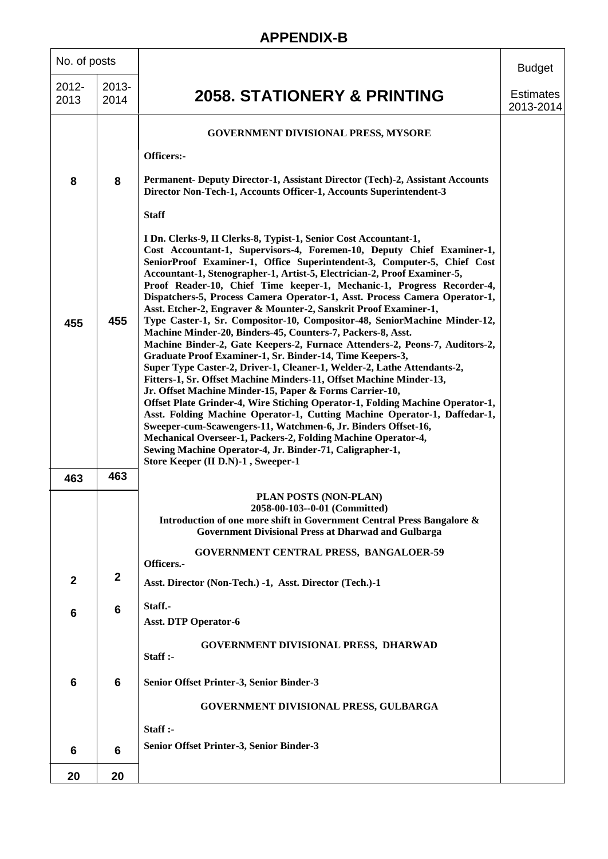#### No. of posts **2058. STATIONERY & PRINTING Budget Estimates** 2013-2014 2012- 2013 2013- 2014 **8 455 463 2 6 6 6 20 8 455 463 2 6 6 6 20 GOVERNMENT DIVISIONAL PRESS, MYSORE Officers:- Permanent- Deputy Director-1, Assistant Director (Tech)-2, Assistant Accounts Director Non-Tech-1, Accounts Officer-1, Accounts Superintendent-3 Staff I Dn. Clerks-9, II Clerks-8, Typist-1, Senior Cost Accountant-1, Cost Accountant-1, Supervisors-4, Foremen-10, Deputy Chief Examiner-1, SeniorProof Examiner-1, Office Superintendent-3, Computer-5, Chief Cost Accountant-1, Stenographer-1, Artist-5, Electrician-2, Proof Examiner-5, Proof Reader-10, Chief Time keeper-1, Mechanic-1, Progress Recorder-4, Dispatchers-5, Process Camera Operator-1, Asst. Process Camera Operator-1, Asst. Etcher-2, Engraver & Mounter-2, Sanskrit Proof Examiner-1, Type Caster-1, Sr. Compositor-10, Compositor-48, SeniorMachine Minder-12, Machine Minder-20, Binders-45, Counters-7, Packers-8, Asst. Machine Binder-2, Gate Keepers-2, Furnace Attenders-2, Peons-7, Auditors-2, Graduate Proof Examiner-1, Sr. Binder-14, Time Keepers-3, Super Type Caster-2, Driver-1, Cleaner-1, Welder-2, Lathe Attendants-2, Fitters-1, Sr. Offset Machine Minders-11, Offset Machine Minder-13, Jr. Offset Machine Minder-15, Paper & Forms Carrier-10, Offset Plate Grinder-4, Wire Stiching Operator-1, Folding Machine Operator-1, Asst. Folding Machine Operator-1, Cutting Machine Operator-1, Daffedar-1, Sweeper-cum-Scawengers-11, Watchmen-6, Jr. Binders Offset-16, Mechanical Overseer-1, Packers-2, Folding Machine Operator-4, Sewing Machine Operator-4, Jr. Binder-71, Caligrapher-1, Store Keeper (II D.N)-1 , Sweeper-1 PLAN POSTS (NON-PLAN) 2058-00-103--0-01 (Committed) Introduction of one more shift in Government Central Press Bangalore & Government Divisional Press at Dharwad and Gulbarga GOVERNMENT CENTRAL PRESS, BANGALOER-59 Officers.- Asst. Director (Non-Tech.) -1, Asst. Director (Tech.)-1 Staff.- Asst. DTP Operator-6 GOVERNMENT DIVISIONAL PRESS, DHARWAD Staff :- Senior Offset Printer-3, Senior Binder-3 GOVERNMENT DIVISIONAL PRESS, GULBARGA Staff :- Senior Offset Printer-3, Senior Binder-3**